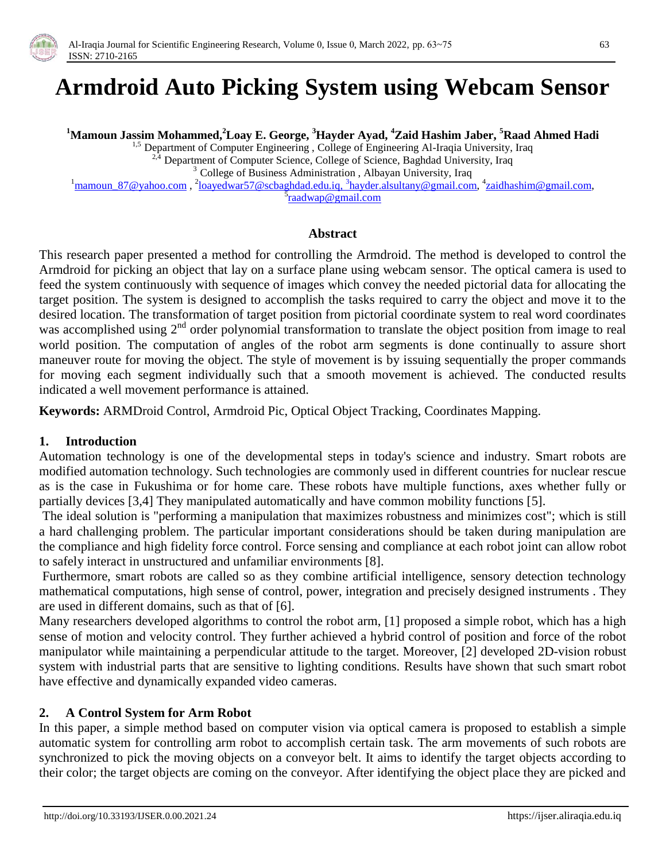

# **Armdroid Auto Picking System using Webcam Sensor**

**<sup>1</sup>Mamoun Jassim Mohammed,<sup>2</sup>Loay E. George, <sup>3</sup>Hayder Ayad, <sup>4</sup>Zaid Hashim Jaber, <sup>5</sup>Raad Ahmed Hadi**

<sup>1,5</sup> Department of Computer Engineering, College of Engineering Al-Iraqia University, Iraq

Department of Computer Science, College of Science, Baghdad University, Iraq

<sup>3</sup> College of Business Administration, Albayan University, Iraq

<sup>1</sup>[mamoun\\_87@yahoo.com](mailto:mamoun_87@yahoo.com), <sup>2</sup>[loayedwar57@scbaghdad.edu.iq,](mailto:loayedwar57@scbaghdad.edu.iq,%203hayder.alsultany@gmail.com) <sup>3</sup>hayder.alsultany@gmail.com, <sup>4</sup>[zaidhashim@gmail.com,](mailto:zaidhashim@gmail.com) <sup>5</sup>[raadwap@gmail.com](mailto:raadwap@gmail.com)

## **Abstract**

This research paper presented a method for controlling the Armdroid. The method is developed to control the Armdroid for picking an object that lay on a surface plane using webcam sensor. The optical camera is used to feed the system continuously with sequence of images which convey the needed pictorial data for allocating the target position. The system is designed to accomplish the tasks required to carry the object and move it to the desired location. The transformation of target position from pictorial coordinate system to real word coordinates was accomplished using  $2^{nd}$  order polynomial transformation to translate the object position from image to real world position. The computation of angles of the robot arm segments is done continually to assure short maneuver route for moving the object. The style of movement is by issuing sequentially the proper commands for moving each segment individually such that a smooth movement is achieved. The conducted results indicated a well movement performance is attained.

**Keywords:** ARMDroid Control, Armdroid Pic, Optical Object Tracking, Coordinates Mapping.

## **1. Introduction**

Automation technology is one of the developmental steps in today's science and industry. Smart robots are modified automation technology. Such technologies are commonly used in different countries for nuclear rescue as is the case in Fukushima or for home care. These robots have multiple functions, axes whether fully or partially devices [3,4] They manipulated automatically and have common mobility functions [5].

The ideal solution is "performing a manipulation that maximizes robustness and minimizes cost"; which is still a hard challenging problem. The particular important considerations should be taken during manipulation are the compliance and high fidelity force control. Force sensing and compliance at each robot joint can allow robot to safely interact in unstructured and unfamiliar environments [8].

Furthermore, smart robots are called so as they combine artificial intelligence, sensory detection technology mathematical computations, high sense of control, power, integration and precisely designed instruments . They are used in different domains, such as that of [6].

Many researchers developed algorithms to control the robot arm, [1] proposed a simple robot, which has a high sense of motion and velocity control. They further achieved a hybrid control of position and force of the robot manipulator while maintaining a perpendicular attitude to the target. Moreover, [2] developed 2D-vision robust system with industrial parts that are sensitive to lighting conditions. Results have shown that such smart robot have effective and dynamically expanded video cameras.

## **2. A Control System for Arm Robot**

In this paper, a simple method based on computer vision via optical camera is proposed to establish a simple automatic system for controlling arm robot to accomplish certain task. The arm movements of such robots are synchronized to pick the moving objects on a conveyor belt. It aims to identify the target objects according to their color; the target objects are coming on the conveyor. After identifying the object place they are picked and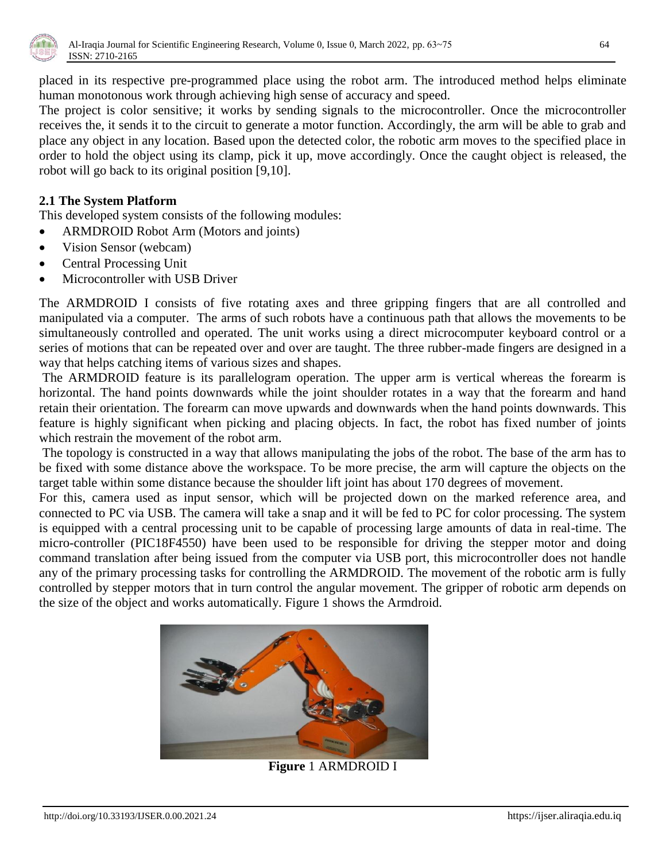

placed in its respective pre-programmed place using the robot arm. The introduced method helps eliminate human monotonous work through achieving high sense of accuracy and speed.

The project is color sensitive; it works by sending signals to the microcontroller. Once the microcontroller receives the, it sends it to the circuit to generate a motor function. Accordingly, the arm will be able to grab and place any object in any location. Based upon the detected color, the robotic arm moves to the specified place in order to hold the object using its clamp, pick it up, move accordingly. Once the caught object is released, the robot will go back to its original position [9,10].

## **2.1 The System Platform**

This developed system consists of the following modules:

- ARMDROID Robot Arm (Motors and joints)
- Vision Sensor (webcam)
- Central Processing Unit
- Microcontroller with USB Driver

The ARMDROID I consists of five rotating axes and three gripping fingers that are all controlled and manipulated via a computer. The arms of such robots have a continuous path that allows the movements to be simultaneously controlled and operated. The unit works using a direct microcomputer keyboard control or a series of motions that can be repeated over and over are taught. The three rubber-made fingers are designed in a way that helps catching items of various sizes and shapes.

The ARMDROID feature is its parallelogram operation. The upper arm is vertical whereas the forearm is horizontal. The hand points downwards while the joint shoulder rotates in a way that the forearm and hand retain their orientation. The forearm can move upwards and downwards when the hand points downwards. This feature is highly significant when picking and placing objects. In fact, the robot has fixed number of joints which restrain the movement of the robot arm.

The topology is constructed in a way that allows manipulating the jobs of the robot. The base of the arm has to be fixed with some distance above the workspace. To be more precise, the arm will capture the objects on the target table within some distance because the shoulder lift joint has about 170 degrees of movement.

For this, camera used as input sensor, which will be projected down on the marked reference area, and connected to PC via USB. The camera will take a snap and it will be fed to PC for color processing. The system is equipped with a central processing unit to be capable of processing large amounts of data in real-time. The micro-controller (PIC18F4550) have been used to be responsible for driving the stepper motor and doing command translation after being issued from the computer via USB port, this microcontroller does not handle any of the primary processing tasks for controlling the ARMDROID. The movement of the robotic arm is fully controlled by stepper motors that in turn control the angular movement. The gripper of robotic arm depends on the size of the object and works automatically. Figure 1 shows the Armdroid.



**Figure** 1 ARMDROID I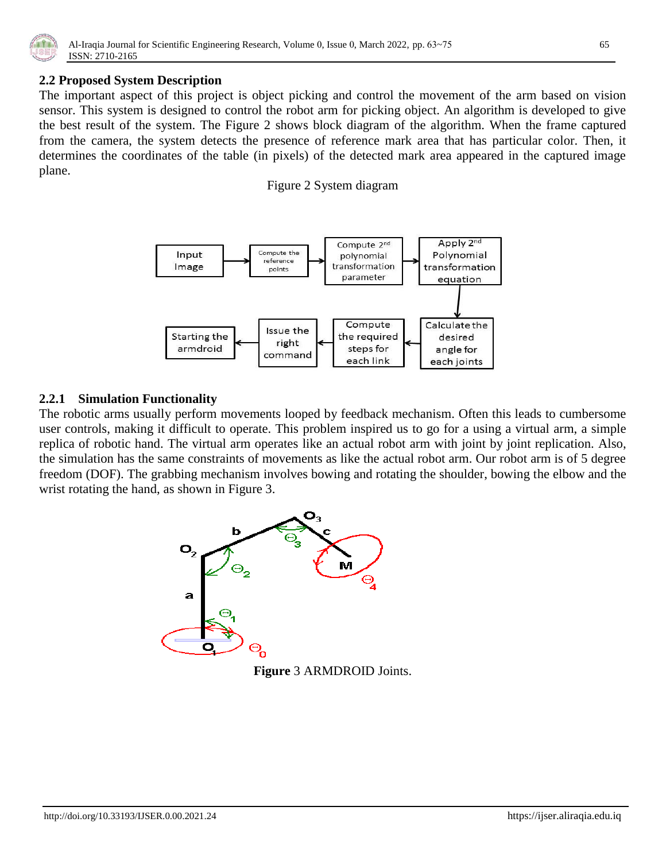

## **2.2 Proposed System Description**

The important aspect of this project is object picking and control the movement of the arm based on vision sensor. This system is designed to control the robot arm for picking object. An algorithm is developed to give the best result of the system. The Figure 2 shows block diagram of the algorithm. When the frame captured from the camera, the system detects the presence of reference mark area that has particular color. Then, it determines the coordinates of the table (in pixels) of the detected mark area appeared in the captured image plane.

Figure 2 System diagram



## **2.2.1 Simulation Functionality**

The robotic arms usually perform movements looped by feedback mechanism. Often this leads to cumbersome user controls, making it difficult to operate. This problem inspired us to go for a using a virtual arm, a simple replica of robotic hand. The virtual arm operates like an actual robot arm with joint by joint replication. Also, the simulation has the same constraints of movements as like the actual robot arm. Our robot arm is of 5 degree freedom (DOF). The grabbing mechanism involves bowing and rotating the shoulder, bowing the elbow and the wrist rotating the hand, as shown in Figure 3.



**Figure** 3 ARMDROID Joints.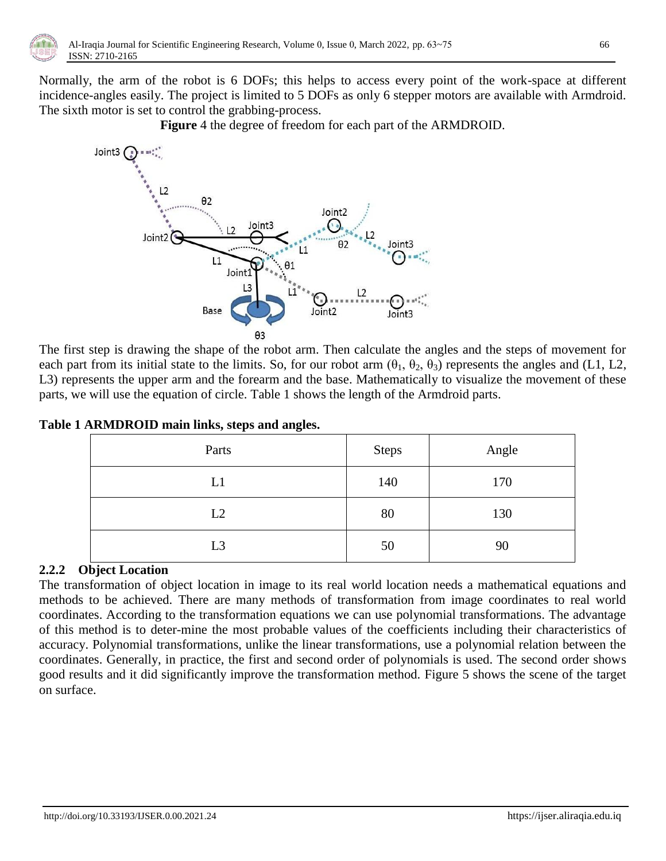

Normally, the arm of the robot is 6 DOFs; this helps to access every point of the work-space at different incidence-angles easily. The project is limited to 5 DOFs as only 6 stepper motors are available with Armdroid. The sixth motor is set to control the grabbing-process.

**Figure** 4 the degree of freedom for each part of the ARMDROID.



The first step is drawing the shape of the robot arm. Then calculate the angles and the steps of movement for each part from its initial state to the limits. So, for our robot arm  $(\theta_1, \theta_2, \theta_3)$  represents the angles and (L1, L2, L3) represents the upper arm and the forearm and the base. Mathematically to visualize the movement of these parts, we will use the equation of circle. Table 1 shows the length of the Armdroid parts.

| Table 1 ARMDROID main links, steps and angles. |  |  |  |
|------------------------------------------------|--|--|--|
|                                                |  |  |  |

| Parts          | <b>Steps</b> | Angle |
|----------------|--------------|-------|
| L1             | 140          | 170   |
| L2             | 80           | 130   |
| L <sub>3</sub> | 50           | 90    |

# **2.2.2 Object Location**

The transformation of object location in image to its real world location needs a mathematical equations and methods to be achieved. There are many methods of transformation from image coordinates to real world coordinates. According to the transformation equations we can use polynomial transformations. The advantage of this method is to deter-mine the most probable values of the coefficients including their characteristics of accuracy. Polynomial transformations, unlike the linear transformations, use a polynomial relation between the coordinates. Generally, in practice, the first and second order of polynomials is used. The second order shows good results and it did significantly improve the transformation method. Figure 5 shows the scene of the target on surface.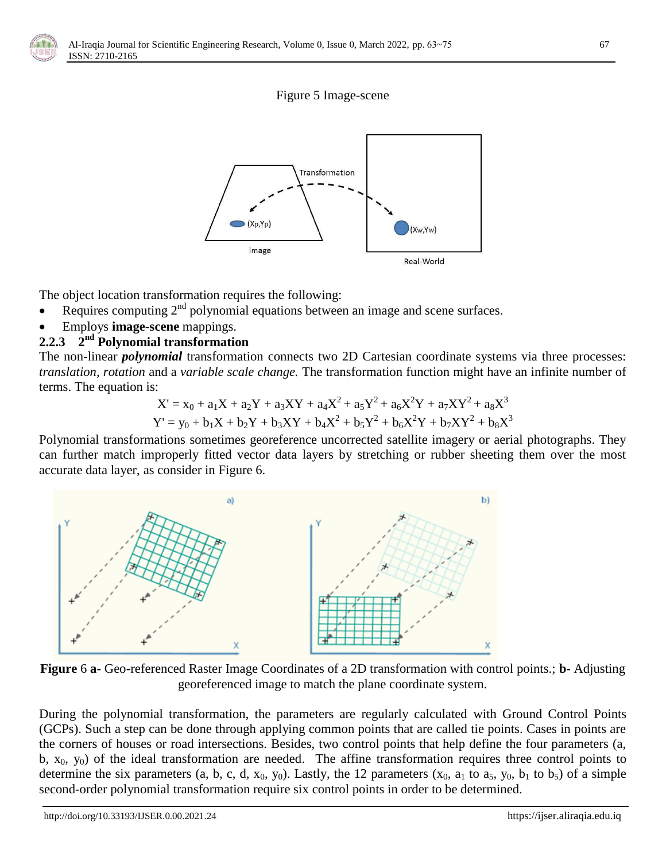





The object location transformation requires the following:

- Requires computing 2<sup>nd</sup> polynomial equations between an image and scene surfaces.
- Employs **image-scene** mappings.

# **2.2.3 2 nd Polynomial transformation**

The non-linear *polynomial* transformation connects two 2D Cartesian coordinate systems via three processes: *translation, rotation* and a *variable scale change.* The transformation function might have an infinite number of terms. The equation is:

$$
X' = x_0 + a_1X + a_2Y + a_3XY + a_4X^2 + a_5Y^2 + a_6X^2Y + a_7XY^2 + a_8X^3
$$
  

$$
Y' = y_0 + b_1X + b_2Y + b_3XY + b_4X^2 + b_5Y^2 + b_6X^2Y + b_7XY^2 + b_8X^3
$$

Polynomial transformations sometimes georeference uncorrected satellite imagery or aerial photographs. They can further match improperly fitted vector data layers by stretching or rubber sheeting them over the most accurate data layer, as consider in Figure 6.



**Figure** 6 **a-** Geo-referenced Raster Image Coordinates of a 2D transformation with control points.; **b-** Adjusting georeferenced image to match the plane coordinate system.

During the polynomial transformation, the parameters are regularly calculated with Ground Control Points (GCPs). Such a step can be done through applying common points that are called tie points. Cases in points are the corners of houses or road intersections. Besides, two control points that help define the four parameters (a, b,  $x_0$ ,  $y_0$ ) of the ideal transformation are needed. The affine transformation requires three control points to determine the six parameters (a, b, c, d,  $x_0$ ,  $y_0$ ). Lastly, the 12 parameters ( $x_0$ ,  $a_1$  to  $a_5$ ,  $y_0$ ,  $b_1$  to  $b_5$ ) of a simple second-order polynomial transformation require six control points in order to be determined.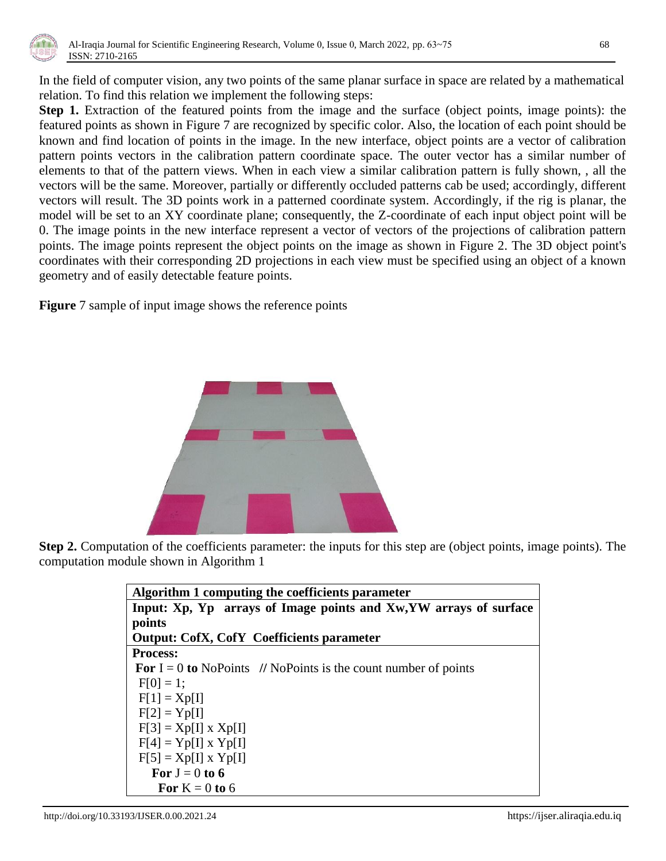

In the field of computer vision, any two points of the same planar surface in space are related by a mathematical relation. To find this relation we implement the following steps:

**Step 1.** Extraction of the featured points from the image and the surface (object points, image points): the featured points as shown in Figure 7 are recognized by specific color. Also, the location of each point should be known and find location of points in the image. In the new interface, object points are a vector of calibration pattern points vectors in the calibration pattern coordinate space. The outer vector has a similar number of elements to that of the pattern views. When in each view a similar calibration pattern is fully shown, , all the vectors will be the same. Moreover, partially or differently occluded patterns cab be used; accordingly, different vectors will result. The 3D points work in a patterned coordinate system. Accordingly, if the rig is planar, the model will be set to an XY coordinate plane; consequently, the Z-coordinate of each input object point will be 0. The image points in the new interface represent a vector of vectors of the projections of calibration pattern points. The image points represent the object points on the image as shown in Figure 2. The 3D object point's coordinates with their corresponding 2D projections in each view must be specified using an object of a known geometry and of easily detectable feature points.

**Figure** 7 sample of input image shows the reference points



**Step 2.** Computation of the coefficients parameter: the inputs for this step are (object points, image points). The computation module shown in Algorithm 1

| Algorithm 1 computing the coefficients parameter                         |  |  |  |  |
|--------------------------------------------------------------------------|--|--|--|--|
| Input: Xp, Yp arrays of Image points and Xw, YW arrays of surface        |  |  |  |  |
| points                                                                   |  |  |  |  |
| <b>Output: CofX, CofY Coefficients parameter</b>                         |  |  |  |  |
| <b>Process:</b>                                                          |  |  |  |  |
| <b>For</b> $I = 0$ to NoPoints // NoPoints is the count number of points |  |  |  |  |
| $F[0] = 1$ ;                                                             |  |  |  |  |
| $F[1] = Xp[1]$                                                           |  |  |  |  |
| $F[2] = Yp[I]$                                                           |  |  |  |  |
| $F[3] = Xp[1] \times Xp[1]$                                              |  |  |  |  |
| $F[4] = Yp[1] \times Yp[1]$                                              |  |  |  |  |
| $F[5] = Xp[1] \times Yp[1]$                                              |  |  |  |  |
| For $J = 0$ to 6                                                         |  |  |  |  |
| For $K = 0$ to 6                                                         |  |  |  |  |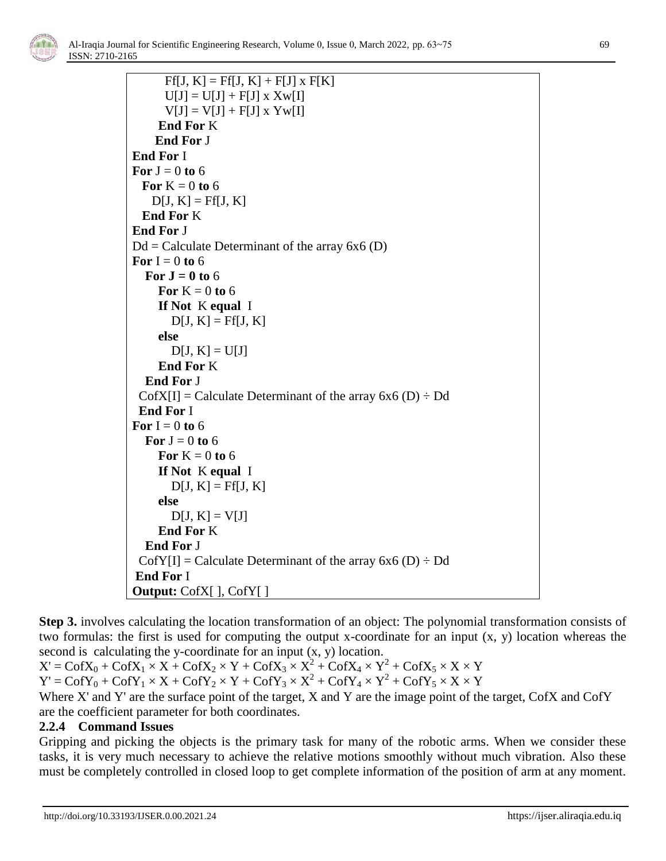

```
F[f, K] = F[f, K] + F[J] \times F[K]U[J] = U[J] + F[J] \times XW[I]V[J] = V[J] + F[J] \times YW[I] End For K
      End For J
End For I
For J = 0 to 6
  For K = 0 to 6
    D[J, K] = Ff[J, K] End For K
End For J
Dd = Calculate Determinant of the array 6x6 (D)
For I = 0 to 6
  For J = 0 to 6
     For K = 0 to 6
      If Not K equal I
        D[J, K] = Ff[J, K] else 
        D[J, K] = U[J] End For K
   End For J
 \text{CofX[I]} = \text{Calculate Determinant of the array } 6x6 \text{ (D)} \div \text{Dd} End For I
For I = 0 to 6
  For J = 0 to 6
     For K = 0 to 6
      If Not K equal I
        D[J, K] = F[f, K] else 
        D[J, K] = V[J] End For K
   End For J
 \text{CofY[I]} = \text{Calculate Determinant of the array } 6x6 \text{ (D)} \div \text{Dd}End For I
Output: CofX[ ], CofY[ ]
```
**Step 3.** involves calculating the location transformation of an object: The polynomial transformation consists of two formulas: the first is used for computing the output x-coordinate for an input (x, y) location whereas the second is calculating the y-coordinate for an input  $(x, y)$  location.

 $X' = \text{CofX}_0 + \text{CofX}_1 \times X + \text{CofX}_2 \times Y + \text{CofX}_3 \times X^2 + \text{CofX}_4 \times Y^2 + \text{CofX}_5 \times X \times Y$  $Y' = \text{CofY}_0 + \text{CofY}_1 \times X + \text{CofY}_2 \times Y + \text{CofY}_3 \times X^2 + \text{CofY}_4 \times Y^2 + \text{CofY}_5 \times X \times Y$ 

Where X' and Y' are the surface point of the target, X and Y are the image point of the target, CofX and CofY are the coefficient parameter for both coordinates.

# **2.2.4 Command Issues**

Gripping and picking the objects is the primary task for many of the robotic arms. When we consider these tasks, it is very much necessary to achieve the relative motions smoothly without much vibration. Also these must be completely controlled in closed loop to get complete information of the position of arm at any moment.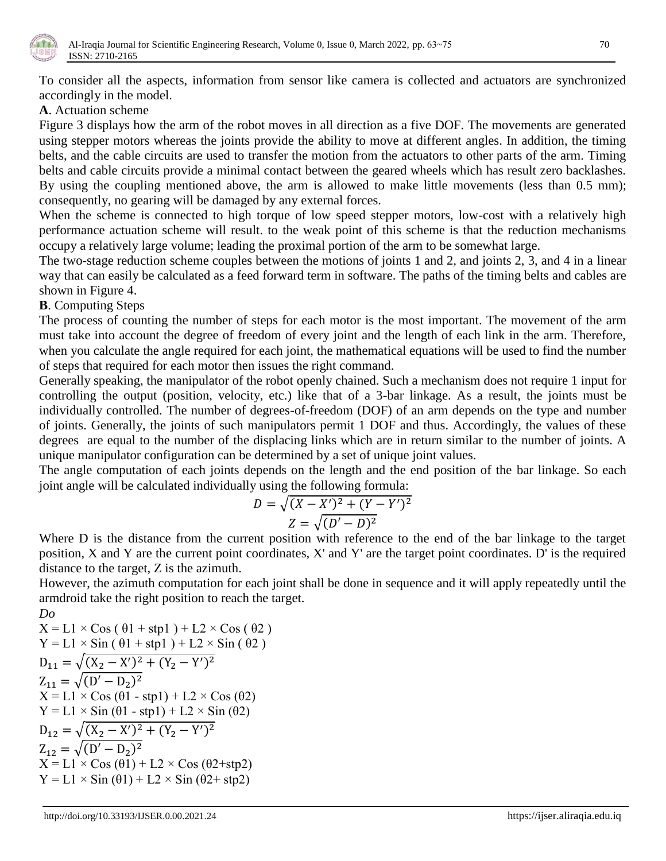

To consider all the aspects, information from sensor like camera is collected and actuators are synchronized accordingly in the model.

## **A**. Actuation scheme

Figure 3 displays how the arm of the robot moves in all direction as a five DOF. The movements are generated using stepper motors whereas the joints provide the ability to move at different angles. In addition, the timing belts, and the cable circuits are used to transfer the motion from the actuators to other parts of the arm. Timing belts and cable circuits provide a minimal contact between the geared wheels which has result zero backlashes. By using the coupling mentioned above, the arm is allowed to make little movements (less than 0.5 mm); consequently, no gearing will be damaged by any external forces.

When the scheme is connected to high torque of low speed stepper motors, low-cost with a relatively high performance actuation scheme will result. to the weak point of this scheme is that the reduction mechanisms occupy a relatively large volume; leading the proximal portion of the arm to be somewhat large.

The two-stage reduction scheme couples between the motions of joints 1 and 2, and joints 2, 3, and 4 in a linear way that can easily be calculated as a feed forward term in software. The paths of the timing belts and cables are shown in Figure 4.

# **B**. Computing Steps

The process of counting the number of steps for each motor is the most important. The movement of the arm must take into account the degree of freedom of every joint and the length of each link in the arm. Therefore, when you calculate the angle required for each joint, the mathematical equations will be used to find the number of steps that required for each motor then issues the right command.

Generally speaking, the manipulator of the robot openly chained. Such a mechanism does not require 1 input for controlling the output (position, velocity, etc.) like that of a 3-bar linkage. As a result, the joints must be individually controlled. The number of degrees-of-freedom (DOF) of an arm depends on the type and number of joints. Generally, the joints of such manipulators permit 1 DOF and thus. Accordingly, the values of these degrees are equal to the number of the displacing links which are in return similar to the number of joints. A unique manipulator configuration can be determined by a set of unique joint values.

The angle computation of each joints depends on the length and the end position of the bar linkage. So each joint angle will be calculated individually using the following formula:

$$
D = \sqrt{(X - X')^{2} + (Y - Y')^{2}}
$$

$$
Z = \sqrt{(D' - D)^{2}}
$$

Where D is the distance from the current position with reference to the end of the bar linkage to the target position, X and Y are the current point coordinates, X' and Y' are the target point coordinates. D' is the required distance to the target, Z is the azimuth.

However, the azimuth computation for each joint shall be done in sequence and it will apply repeatedly until the armdroid take the right position to reach the target. *Do* 

$$
X = L1 \times Cos (\theta1 + stp1) + L2 \times Cos (\theta2)
$$
  
\nY = L1 × Sin (\theta1 + stp1) + L2 × Sin (\theta2)  
\nD<sub>11</sub> = √(X<sub>2</sub> - X')<sup>2</sup> + (Y<sub>2</sub> - Y')<sup>2</sup>  
\nZ<sub>11</sub> = √(D' - D<sub>2</sub>)<sup>2</sup>  
\nX = L1 × Cos (\theta1 - stp1) + L2 × Cos (\theta2)  
\nY = L1 × Sin (\theta1 - stp1) + L2 × Sin (\theta2)  
\nD<sub>12</sub> = √(X<sub>2</sub> - X')<sup>2</sup> + (Y<sub>2</sub> - Y')<sup>2</sup>  
\nZ<sub>12</sub> = √(D' - D<sub>2</sub>)<sup>2</sup>  
\nX = L1 × Cos (\theta1) + L2 × Cos (\theta2 + stp2)  
\nY = L1 × Sin (\theta1) + L2 × Sin (\theta2 + stp2)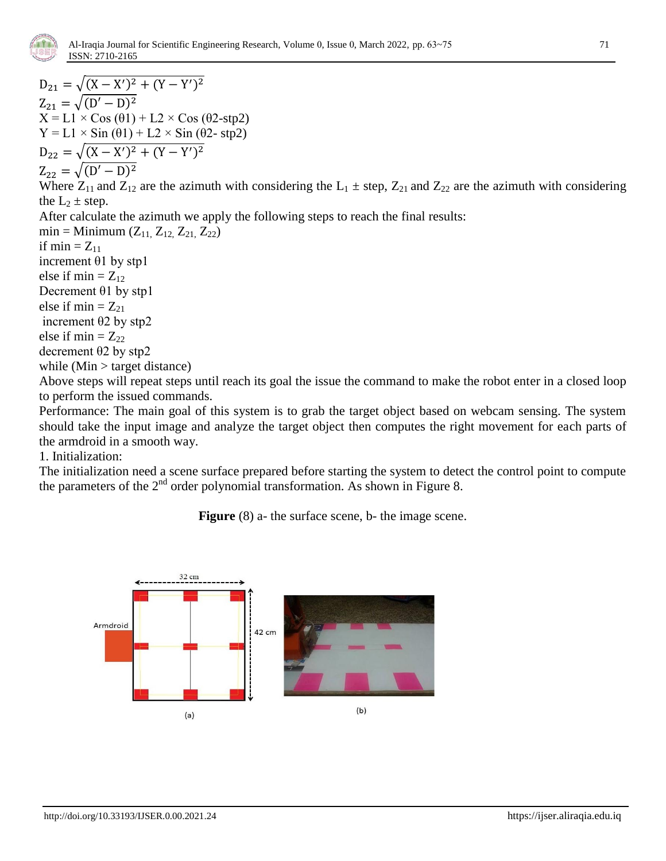

 $D_{21} = \sqrt{(X - X')^2 + (Y - Y')^2}$  $Z_{21} = \sqrt{(D'-D)^2}$  $X = L1 \times Cos (\theta_1) + L2 \times Cos (\theta_2 - stp2)$  $Y = L1 \times Sin(\theta_1) + L2 \times Sin(\theta_2 - stp2)$  $D_{22} = \sqrt{(X - X')^2 + (Y - Y')^2}$  $Z_{22} = \sqrt{(D'-D)^2}$ Where  $Z_{11}$  and  $Z_{12}$  are the azimuth with considering the  $L_1 \pm$  step,  $Z_{21}$  and  $Z_{22}$  are the azimuth with considering the  $L_2 \pm$  step. After calculate the azimuth we apply the following steps to reach the final results: min = Minimum  $(Z_{11}, Z_{12}, Z_{21}, Z_{22})$ if min  $= Z_{11}$ increment θ1 by stp1 else if min  $= Z_{12}$ Decrement θ1 by stp1 else if  $min = Z_{21}$ increment θ2 by stp2 else if min  $= Z_{22}$ decrement θ2 by stp2 while  $(Min > target distance)$ Above steps will repeat steps until reach its goal the issue the command to make the robot enter in a closed loop to perform the issued commands.

Performance: The main goal of this system is to grab the target object based on webcam sensing. The system should take the input image and analyze the target object then computes the right movement for each parts of the armdroid in a smooth way.

1. Initialization:

The initialization need a scene surface prepared before starting the system to detect the control point to compute the parameters of the  $2<sup>nd</sup>$  order polynomial transformation. As shown in Figure 8.

**Figure** (8) a- the surface scene, b- the image scene.

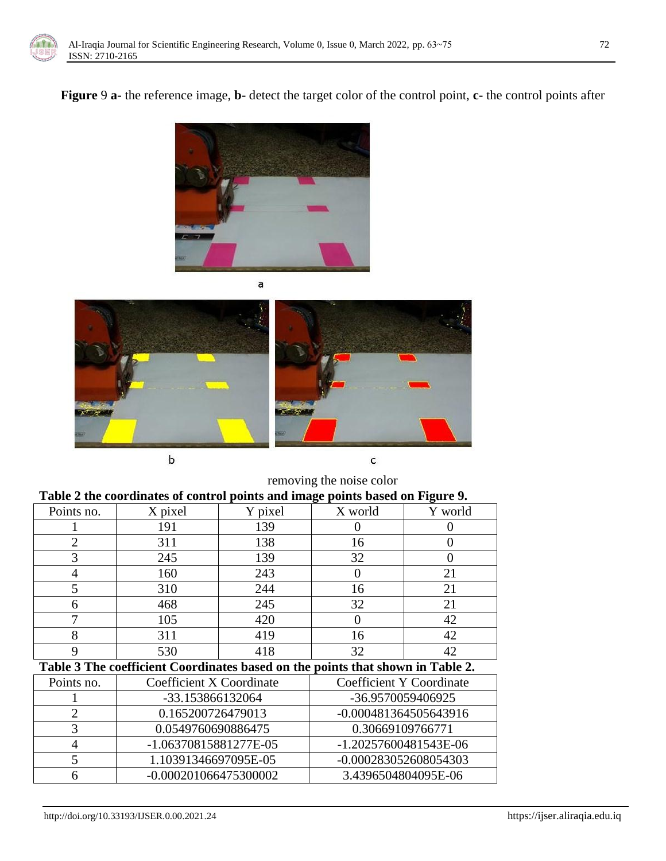

**Figure** 9 **a-** the reference image, **b-** detect the target color of the control point, **c-** the control points after







 $\sf b$ 



removing the noise color

| Table 2 the coordinates of control points and image points based on Figure 9. |  |  |  |
|-------------------------------------------------------------------------------|--|--|--|
|                                                                               |  |  |  |

|                                                                                |                                                    |         | $\mathbf{\sigma}$ | o       |  |  |
|--------------------------------------------------------------------------------|----------------------------------------------------|---------|-------------------|---------|--|--|
| Points no.                                                                     | X pixel                                            | Y pixel | X world           | Y world |  |  |
|                                                                                | 191                                                | 139     |                   |         |  |  |
|                                                                                | 311                                                | 138     | 16                |         |  |  |
|                                                                                | 245                                                | 139     | 32                |         |  |  |
|                                                                                | 160                                                | 243     |                   | 21      |  |  |
|                                                                                | 310                                                | 244     | 16                | 21      |  |  |
|                                                                                | 468                                                | 245     | 32                | 21      |  |  |
|                                                                                | 105                                                | 420     |                   | 42      |  |  |
|                                                                                | 311                                                | 419     | 16                | 42      |  |  |
|                                                                                | 530                                                | 418     | 32                | 42      |  |  |
| Table 3 The coefficient Coordinates based on the points that shown in Table 2. |                                                    |         |                   |         |  |  |
|                                                                                | المتاريخ المستحدث والمتحدث المتحدث المتحدث المتحدث |         |                   |         |  |  |

| Points no. | Coefficient X Coordinate | Coefficient Y Coordinate |
|------------|--------------------------|--------------------------|
|            | -33.153866132064         | -36.9570059406925        |
|            | 0.165200726479013        | -0.000481364505643916    |
|            | 0.0549760690886475       | 0.30669109766771         |
|            | -1.06370815881277E-05    | -1.20257600481543E-06    |
|            | 1.10391346697095E-05     | -0.000283052608054303    |
|            | -0.000201066475300002    | 3.4396504804095E-06      |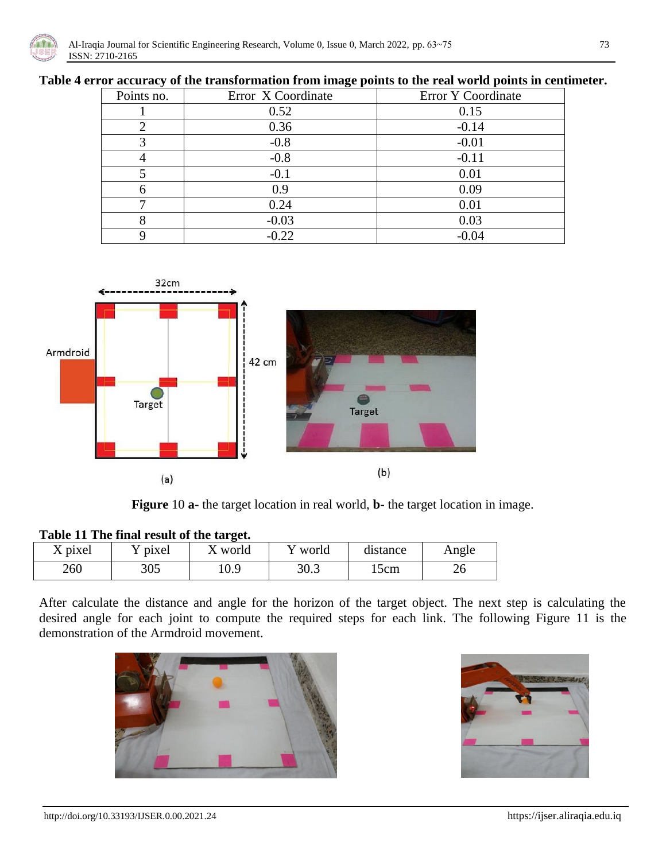

### **Table 4 error accuracy of the transformation from image points to the real world points in centimeter.**

| Points no. | Error X Coordinate | Error Y Coordinate |
|------------|--------------------|--------------------|
|            | 0.52               | 0.15               |
|            | 0.36               | $-0.14$            |
|            | $-0.8$             | $-0.01$            |
|            | $-0.8$             | $-0.11$            |
|            | $-0.1$             | 0.01               |
|            | 0.9                | 0.09               |
|            | 0.24               | 0.01               |
|            | $-0.03$            | 0.03               |
|            | $-0.22$            | $-0.04$            |



**Figure** 10 **a-** the target location in real world, **b-** the target location in image.

| Table II The final result of the target. |         |         |         |          |       |  |  |
|------------------------------------------|---------|---------|---------|----------|-------|--|--|
| X pixel                                  | Y pixel | X world | Y world | distance | Angle |  |  |
| 260                                      | 305     | 0.9     | 30.3    | 15cm     | ے د   |  |  |

## **Table 11 The final result of the target.**

After calculate the distance and angle for the horizon of the target object. The next step is calculating the desired angle for each joint to compute the required steps for each link. The following Figure 11 is the demonstration of the Armdroid movement.



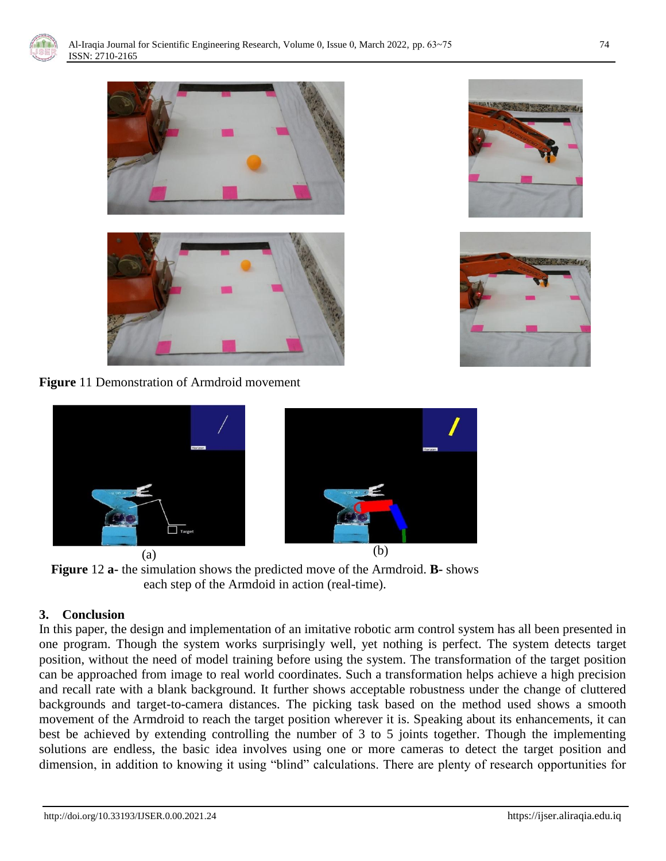



**Figure** 11 Demonstration of Armdroid movement



**Figure** 12 **a-** the simulation shows the predicted move of the Armdroid. **B-** shows each step of the Armdoid in action (real-time).

## **3. Conclusion**

In this paper, the design and implementation of an imitative robotic arm control system has all been presented in one program. Though the system works surprisingly well, yet nothing is perfect. The system detects target position, without the need of model training before using the system. The transformation of the target position can be approached from image to real world coordinates. Such a transformation helps achieve a high precision and recall rate with a blank background. It further shows acceptable robustness under the change of cluttered backgrounds and target-to-camera distances. The picking task based on the method used shows a smooth movement of the Armdroid to reach the target position wherever it is. Speaking about its enhancements, it can best be achieved by extending controlling the number of 3 to 5 joints together. Though the implementing solutions are endless, the basic idea involves using one or more cameras to detect the target position and dimension, in addition to knowing it using "blind" calculations. There are plenty of research opportunities for